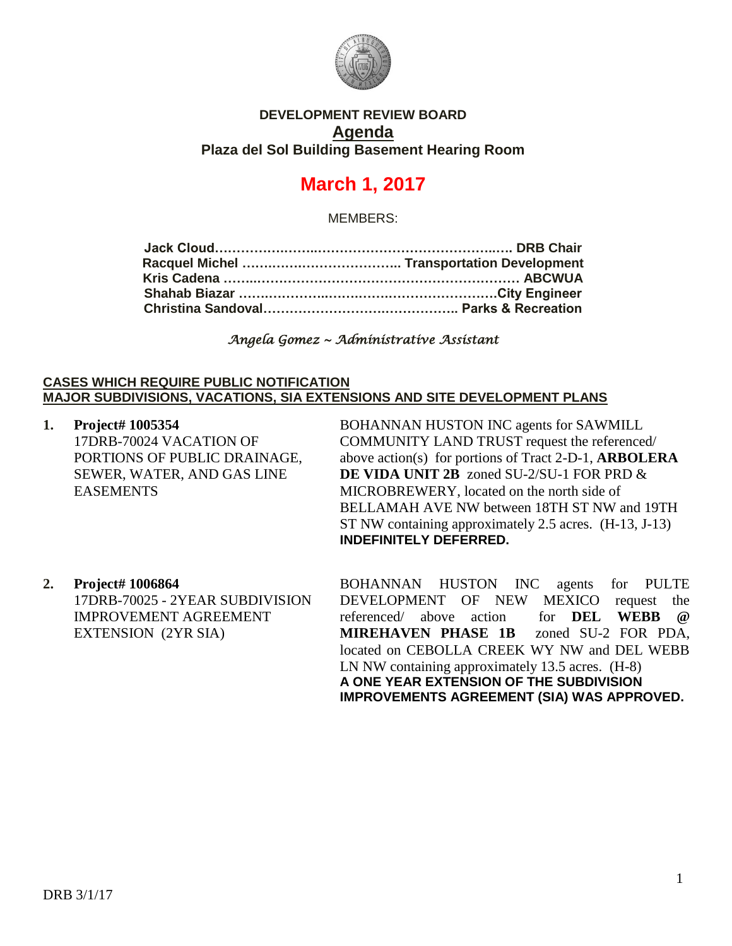

## **DEVELOPMENT REVIEW BOARD Agenda Plaza del Sol Building Basement Hearing Room**

# **March 1, 2017**

MEMBERS:

*Angela Gomez ~ Administrative Assistant* 

#### **CASES WHICH REQUIRE PUBLIC NOTIFICATION MAJOR SUBDIVISIONS, VACATIONS, SIA EXTENSIONS AND SITE DEVELOPMENT PLANS**

**1. Project# 1005354** 17DRB-70024 VACATION OF PORTIONS OF PUBLIC DRAINAGE, SEWER, WATER, AND GAS LINE EASEMENTS

BOHANNAN HUSTON INC agents for SAWMILL COMMUNITY LAND TRUST request the referenced/ above action(s) for portions of Tract 2-D-1, **ARBOLERA DE VIDA UNIT 2B** zoned SU-2/SU-1 FOR PRD & MICROBREWERY, located on the north side of BELLAMAH AVE NW between 18TH ST NW and 19TH ST NW containing approximately 2.5 acres. (H-13, J-13) **INDEFINITELY DEFERRED.**

**2. Project# 1006864** 17DRB-70025 - 2YEAR SUBDIVISION IMPROVEMENT AGREEMENT EXTENSION (2YR SIA)

BOHANNAN HUSTON INC agents for PULTE DEVELOPMENT OF NEW MEXICO request the referenced/ above action for **DEL WEBB @ MIREHAVEN PHASE 1B** zoned SU-2 FOR PDA, located on CEBOLLA CREEK WY NW and DEL WEBB LN NW containing approximately 13.5 acres. (H-8) **A ONE YEAR EXTENSION OF THE SUBDIVISION IMPROVEMENTS AGREEMENT (SIA) WAS APPROVED.**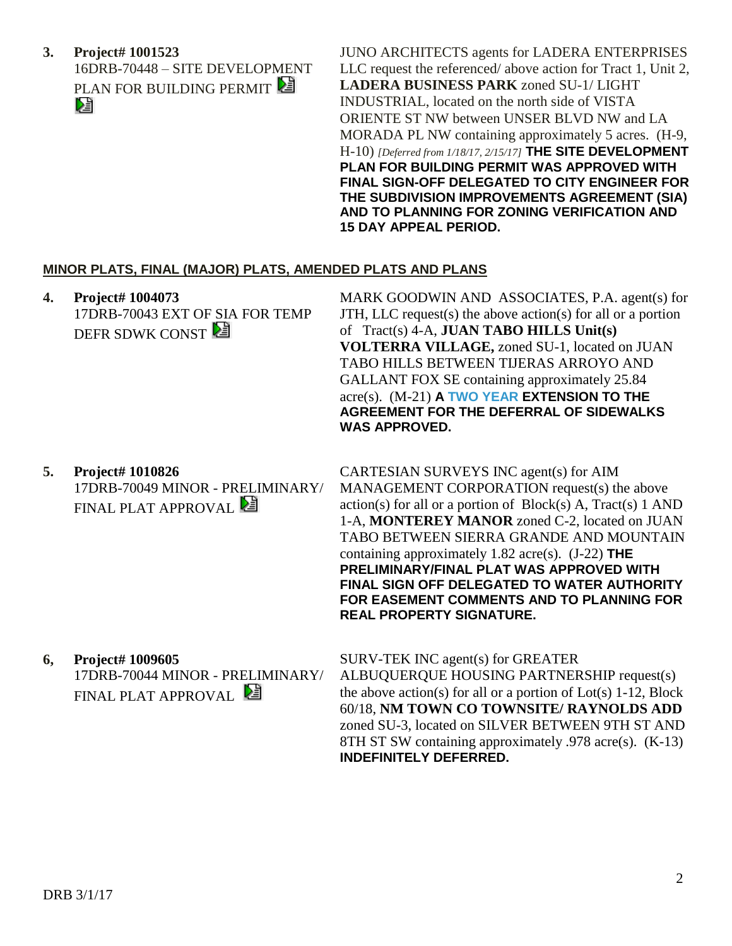**3. Project# 1001523** 16DRB-70448 – SITE DEVELOPMENT PLAN FOR BUILDING PERMIT

JUNO ARCHITECTS agents for LADERA ENTERPRISES LLC request the referenced/ above action for Tract 1, Unit 2, **LADERA BUSINESS PARK** zoned SU-1/ LIGHT INDUSTRIAL, located on the north side of VISTA ORIENTE ST NW between UNSER BLVD NW and LA MORADA PL NW containing approximately 5 acres. (H-9, H-10) *[Deferred from 1/18/17, 2/15/17]* **THE SITE DEVELOPMENT PLAN FOR BUILDING PERMIT WAS APPROVED WITH FINAL SIGN-OFF DELEGATED TO CITY ENGINEER FOR THE SUBDIVISION IMPROVEMENTS AGREEMENT (SIA) AND TO PLANNING FOR ZONING VERIFICATION AND 15 DAY APPEAL PERIOD.**

## **MINOR PLATS, FINAL (MAJOR) PLATS, AMENDED PLATS AND PLANS**

- **4. Project# 1004073** 17DRB-70043 EXT OF SIA FOR TEMP DEFR SDWK CONST MARK GOODWIN AND ASSOCIATES, P.A. agent(s) for JTH, LLC request(s) the above action(s) for all or a portion of Tract(s) 4-A, **JUAN TABO HILLS Unit(s) VOLTERRA VILLAGE,** zoned SU-1, located on JUAN TABO HILLS BETWEEN TIJERAS ARROYO AND GALLANT FOX SE containing approximately 25.84 acre(s). (M-21) **A TWO YEAR EXTENSION TO THE AGREEMENT FOR THE DEFERRAL OF SIDEWALKS WAS APPROVED.**
- **5. Project# 1010826** 17DRB-70049 MINOR - PRELIMINARY/ FINAL PLAT APPROVAL

CARTESIAN SURVEYS INC agent(s) for AIM MANAGEMENT CORPORATION request(s) the above  $action(s)$  for all or a portion of  $Block(s)$  A, Tract(s) 1 AND 1-A, **MONTEREY MANOR** zoned C-2, located on JUAN TABO BETWEEN SIERRA GRANDE AND MOUNTAIN containing approximately 1.82 acre(s). (J-22) **THE PRELIMINARY/FINAL PLAT WAS APPROVED WITH FINAL SIGN OFF DELEGATED TO WATER AUTHORITY FOR EASEMENT COMMENTS AND TO PLANNING FOR REAL PROPERTY SIGNATURE.**

**6, Project# 1009605** 17DRB-70044 MINOR - PRELIMINARY/ FINAL PLAT APPROVAL

SURV-TEK INC agent(s) for GREATER ALBUQUERQUE HOUSING PARTNERSHIP request(s) the above action(s) for all or a portion of  $Lot(s)$  1-12, Block 60/18, **NM TOWN CO TOWNSITE/ RAYNOLDS ADD** zoned SU-3, located on SILVER BETWEEN 9TH ST AND 8TH ST SW containing approximately .978 acre(s). (K-13) **INDEFINITELY DEFERRED.**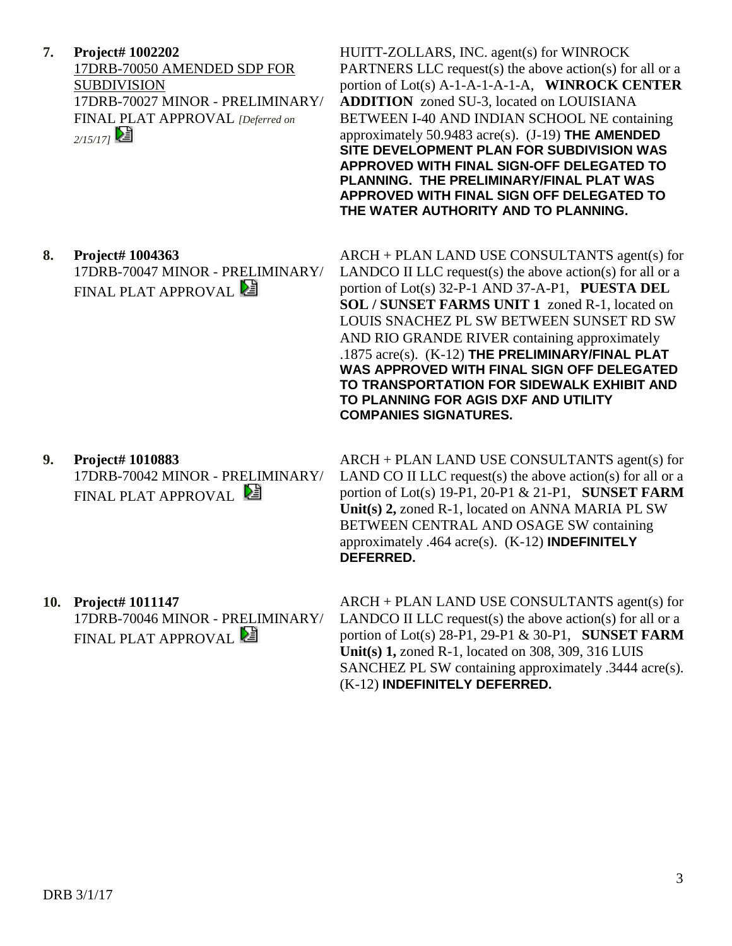**7. Project# 1002202** 17DRB-70050 AMENDED SDP FOR SUBDIVISION 17DRB-70027 MINOR - PRELIMINARY/ FINAL PLAT APPROVAL *[Deferred on 2/15/17]* 

HUITT-ZOLLARS, INC. agent(s) for WINROCK PARTNERS LLC request(s) the above action(s) for all or a portion of Lot(s) A-1-A-1-A-1-A, **WINROCK CENTER ADDITION** zoned SU-3, located on LOUISIANA BETWEEN I-40 AND INDIAN SCHOOL NE containing approximately 50.9483 acre(s). (J-19) **THE AMENDED SITE DEVELOPMENT PLAN FOR SUBDIVISION WAS APPROVED WITH FINAL SIGN-OFF DELEGATED TO PLANNING. THE PRELIMINARY/FINAL PLAT WAS APPROVED WITH FINAL SIGN OFF DELEGATED TO THE WATER AUTHORITY AND TO PLANNING.**

#### **8. Project# 1004363**

17DRB-70047 MINOR - PRELIMINARY/ FINAL PLAT APPROVAL

- ARCH + PLAN LAND USE CONSULTANTS agent(s) for LANDCO II LLC request(s) the above action(s) for all or a portion of Lot(s) 32-P-1 AND 37-A-P1, **PUESTA DEL SOL / SUNSET FARMS UNIT 1** zoned R-1, located on LOUIS SNACHEZ PL SW BETWEEN SUNSET RD SW AND RIO GRANDE RIVER containing approximately .1875 acre(s). (K-12) **THE PRELIMINARY/FINAL PLAT WAS APPROVED WITH FINAL SIGN OFF DELEGATED TO TRANSPORTATION FOR SIDEWALK EXHIBIT AND TO PLANNING FOR AGIS DXF AND UTILITY COMPANIES SIGNATURES.**
- **9. Project# 1010883** 17DRB-70042 MINOR - PRELIMINARY/ FINAL PLAT APPROVAL

ARCH + PLAN LAND USE CONSULTANTS agent(s) for LAND CO II LLC request(s) the above action(s) for all or a portion of Lot(s) 19-P1, 20-P1 & 21-P1, **SUNSET FARM Unit(s) 2,** zoned R-1, located on ANNA MARIA PL SW BETWEEN CENTRAL AND OSAGE SW containing approximately .464 acre(s). (K-12) **INDEFINITELY DEFERRED.**

**10. Project# 1011147** 17DRB-70046 MINOR - PRELIMINARY/

FINAL PLAT APPROVAL

ARCH + PLAN LAND USE CONSULTANTS agent(s) for LANDCO II LLC request(s) the above action(s) for all or a portion of Lot(s) 28-P1, 29-P1 & 30-P1, **SUNSET FARM Unit(s) 1,** zoned R-1, located on 308, 309, 316 LUIS SANCHEZ PL SW containing approximately .3444 acre(s). (K-12) **INDEFINITELY DEFERRED.**